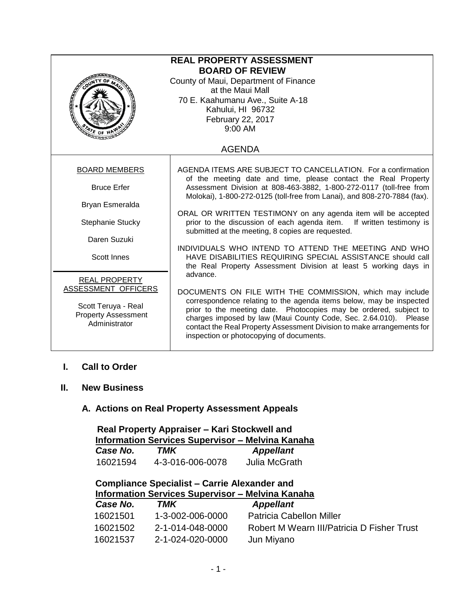| <b>REAL PROPERTY ASSESSMENT</b><br><b>BOARD OF REVIEW</b><br>County of Maui, Department of Finance<br>at the Maui Mall<br>70 E. Kaahumanu Ave., Suite A-18<br>Kahului, HI 96732<br>February 22, 2017<br>9:00 AM<br>$4r_E$ of H |                                                                                                                                                                                                                                                                                                                                                                                                |  |  |  |
|--------------------------------------------------------------------------------------------------------------------------------------------------------------------------------------------------------------------------------|------------------------------------------------------------------------------------------------------------------------------------------------------------------------------------------------------------------------------------------------------------------------------------------------------------------------------------------------------------------------------------------------|--|--|--|
|                                                                                                                                                                                                                                | <b>AGENDA</b>                                                                                                                                                                                                                                                                                                                                                                                  |  |  |  |
| <b>BOARD MEMBERS</b>                                                                                                                                                                                                           | AGENDA ITEMS ARE SUBJECT TO CANCELLATION. For a confirmation                                                                                                                                                                                                                                                                                                                                   |  |  |  |
| <b>Bruce Erfer</b>                                                                                                                                                                                                             | of the meeting date and time, please contact the Real Property<br>Assessment Division at 808-463-3882, 1-800-272-0117 (toll-free from<br>Molokai), 1-800-272-0125 (toll-free from Lanai), and 808-270-7884 (fax).                                                                                                                                                                              |  |  |  |
| Bryan Esmeralda                                                                                                                                                                                                                |                                                                                                                                                                                                                                                                                                                                                                                                |  |  |  |
| Stephanie Stucky                                                                                                                                                                                                               | ORAL OR WRITTEN TESTIMONY on any agenda item will be accepted<br>prior to the discussion of each agenda item. If written testimony is<br>submitted at the meeting, 8 copies are requested.                                                                                                                                                                                                     |  |  |  |
| Daren Suzuki                                                                                                                                                                                                                   |                                                                                                                                                                                                                                                                                                                                                                                                |  |  |  |
| <b>Scott Innes</b>                                                                                                                                                                                                             | INDIVIDUALS WHO INTEND TO ATTEND THE MEETING AND WHO<br>HAVE DISABILITIES REQUIRING SPECIAL ASSISTANCE should call<br>the Real Property Assessment Division at least 5 working days in                                                                                                                                                                                                         |  |  |  |
| <b>REAL PROPERTY</b>                                                                                                                                                                                                           | advance.                                                                                                                                                                                                                                                                                                                                                                                       |  |  |  |
| ASSESSMENT OFFICERS<br>Scott Teruya - Real<br><b>Property Assessment</b><br>Administrator                                                                                                                                      | DOCUMENTS ON FILE WITH THE COMMISSION, which may include<br>correspondence relating to the agenda items below, may be inspected<br>prior to the meeting date. Photocopies may be ordered, subject to<br>charges imposed by law (Maui County Code, Sec. 2.64.010). Please<br>contact the Real Property Assessment Division to make arrangements for<br>inspection or photocopying of documents. |  |  |  |

## **I. Call to Order**

## **II. New Business**

## **A. Actions on Real Property Assessment Appeals**

 **Real Property Appraiser – Kari Stockwell and Information Services Supervisor – Melvina Kanaha** *Case No. TMK Appellant* 16021594 4-3-016-006-0078 Julia McGrath

| <b>Compliance Specialist - Carrie Alexander and</b>     |                  |                                            |  |  |  |
|---------------------------------------------------------|------------------|--------------------------------------------|--|--|--|
| <b>Information Services Supervisor - Melvina Kanaha</b> |                  |                                            |  |  |  |
| Case No.                                                | TMK              | <b>Appellant</b>                           |  |  |  |
| 16021501                                                | 1-3-002-006-0000 | Patricia Cabellon Miller                   |  |  |  |
| 16021502                                                | 2-1-014-048-0000 | Robert M Wearn III/Patricia D Fisher Trust |  |  |  |
| 16021537                                                | 2-1-024-020-0000 | Jun Miyano                                 |  |  |  |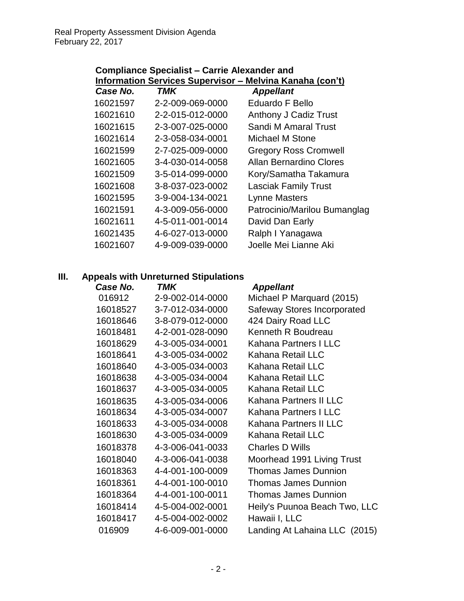| <b>Compliance Specialist – Carrie Alexander and</b> |             |                                                          |  |  |
|-----------------------------------------------------|-------------|----------------------------------------------------------|--|--|
|                                                     |             | Information Services Supervisor – Melvina Kanaha (con't) |  |  |
| $\mathbf{A}$                                        | <b>TAAI</b> | $\bf{A}$ . II                                            |  |  |

| Case No. | TMK              | <b>Appellant</b>               |
|----------|------------------|--------------------------------|
| 16021597 | 2-2-009-069-0000 | Eduardo F Bello                |
| 16021610 | 2-2-015-012-0000 | <b>Anthony J Cadiz Trust</b>   |
| 16021615 | 2-3-007-025-0000 | Sandi M Amaral Trust           |
| 16021614 | 2-3-058-034-0001 | Michael M Stone                |
| 16021599 | 2-7-025-009-0000 | <b>Gregory Ross Cromwell</b>   |
| 16021605 | 3-4-030-014-0058 | <b>Allan Bernardino Clores</b> |
| 16021509 | 3-5-014-099-0000 | Kory/Samatha Takamura          |
| 16021608 | 3-8-037-023-0002 | <b>Lasciak Family Trust</b>    |
| 16021595 | 3-9-004-134-0021 | <b>Lynne Masters</b>           |
| 16021591 | 4-3-009-056-0000 | Patrocinio/Marilou Bumanglag   |
| 16021611 | 4-5-011-001-0014 | David Dan Early                |
| 16021435 | 4-6-027-013-0000 | Ralph I Yanagawa               |
| 16021607 | 4-9-009-039-0000 | Joelle Mei Lianne Aki          |
|          |                  |                                |

## **III. Appeals with Unreturned Stipulations**

| Case No. | TMK              | <b>Appellant</b>                   |
|----------|------------------|------------------------------------|
| 016912   | 2-9-002-014-0000 | Michael P Marquard (2015)          |
| 16018527 | 3-7-012-034-0000 | <b>Safeway Stores Incorporated</b> |
| 16018646 | 3-8-079-012-0000 | 424 Dairy Road LLC                 |
| 16018481 | 4-2-001-028-0090 | Kenneth R Boudreau                 |
| 16018629 | 4-3-005-034-0001 | Kahana Partners I LLC              |
| 16018641 | 4-3-005-034-0002 | Kahana Retail LLC                  |
| 16018640 | 4-3-005-034-0003 | Kahana Retail LLC                  |
| 16018638 | 4-3-005-034-0004 | Kahana Retail LLC                  |
| 16018637 | 4-3-005-034-0005 | Kahana Retail LLC                  |
| 16018635 | 4-3-005-034-0006 | Kahana Partners II LLC             |
| 16018634 | 4-3-005-034-0007 | Kahana Partners I LLC              |
| 16018633 | 4-3-005-034-0008 | Kahana Partners II LLC             |
| 16018630 | 4-3-005-034-0009 | Kahana Retail LLC                  |
| 16018378 | 4-3-006-041-0033 | <b>Charles D Wills</b>             |
| 16018040 | 4-3-006-041-0038 | Moorhead 1991 Living Trust         |
| 16018363 | 4-4-001-100-0009 | <b>Thomas James Dunnion</b>        |
| 16018361 | 4-4-001-100-0010 | <b>Thomas James Dunnion</b>        |
| 16018364 | 4-4-001-100-0011 | <b>Thomas James Dunnion</b>        |
| 16018414 | 4-5-004-002-0001 | Heily's Puunoa Beach Two, LLC      |
| 16018417 | 4-5-004-002-0002 | Hawaii I, LLC                      |
| 016909   | 4-6-009-001-0000 | Landing At Lahaina LLC (2015)      |
|          |                  |                                    |